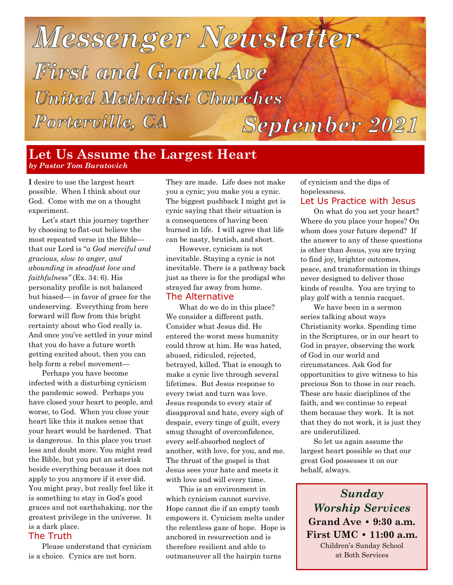## Messenger Newsletter First and Grand Ave **United Methodist Churches** Porterville, CA **September 2021**

#### **Let Us Assume the Largest Heart** *by Pastor Tom Buratovich*

**I** desire to use the largest heart possible. When I think about our God. Come with me on a thought experiment.

Let's start this journey together by choosing to flat-out believe the most repeated verse in the Bible that our Lord is "*a God merciful and gracious, slow to anger, and abounding in steadfast love and faithfulness"* (Ex. 34: 6). His personality profile is not balanced but biased— in favor of grace for the undeserving. Everything from here forward will flow from this bright certainty about who God really is. And once you've settled in your mind that you do have a future worth getting excited about, then you can help form a rebel movement—

Perhaps you have become infected with a disturbing cynicism the pandemic sowed. Perhaps you have closed your heart to people, and worse, to God. When you close your heart like this it makes sense that your heart would be hardened. That is dangerous. In this place you trust less and doubt more. You might read the Bible, but you put an asterisk beside everything because it does not apply to you anymore if it ever did. You might pray, but really feel like it is something to stay in God's good graces and not earthshaking, nor the greatest privilege in the universe. It is a dark place.

#### The Truth

Please understand that cynicism is a choice. Cynics are not born.

They are made. Life does not make you a cynic; you make you a cynic. The biggest pushback I might get is cynic saying that their situation is a consequences of having been burned in life. I will agree that life can be nasty, brutish, and short.

However, cynicism is not inevitable. Staying a cynic is not inevitable. There is a pathway back just as there is for the prodigal who strayed far away from home. The Alternative

What do we do in this place? We consider a different path. Consider what Jesus did. He entered the worst mess humanity could throw at him. He was hated, abused, ridiculed, rejected, betrayed, killed. That is enough to make a cynic live through several lifetimes. But Jesus response to every twist and turn was love. Jesus responds to every stair of disapproval and hate, every sigh of despair, every tinge of guilt, every smug thought of overconfidence, every self-absorbed neglect of another, with love, for you, and me. The thrust of the gospel is that Jesus sees your hate and meets it with love and will every time.

This is an environment in which cynicism cannot survive. Hope cannot die if an empty tomb empowers it. Cynicism melts under the relentless gaze of hope. Hope is anchored in resurrection and is therefore resilient and able to outmaneuver all the hairpin turns

of cynicism and the dips of hopelessness. Let Us Practice with Jesus

On what do you set your heart? Where do you place your hopes? On whom does your future depend? If the answer to any of these questions is other than Jesus, you are trying to find joy, brighter outcomes, peace, and transformation in things never designed to deliver those kinds of results. You are trying to play golf with a tennis racquet.

We have been in a sermon series talking about ways Christianity works. Spending time in the Scriptures, or in our heart to God in prayer, observing the work of God in our world and circumstances. Ask God for opportunities to give witness to his precious Son to those in our reach. These are basic disciplines of the faith, and we continue to repeat them because they work. It is not that they do not work, it is just they are underutilized.

So let us again assume the largest heart possible so that our great God possesses it on our behalf, always.

*Sunday Worship Services* **Grand Ave • 9:30 a.m. First UMC • 11:00 a.m.**  Children's Sunday School at Both Services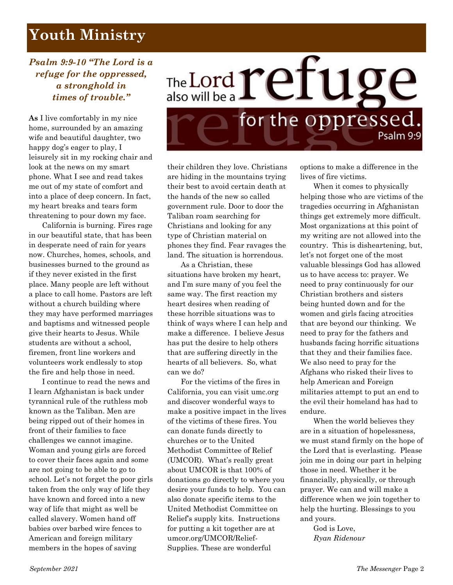## **Youth Ministry**

#### *Psalm 9:9-10 "The Lord is a refuge for the oppressed, a stronghold in times of trouble."*

**As** I live comfortably in my nice home, surrounded by an amazing wife and beautiful daughter, two happy dog's eager to play, I leisurely sit in my rocking chair and look at the news on my smart phone. What I see and read takes me out of my state of comfort and into a place of deep concern. In fact, my heart breaks and tears form threatening to pour down my face.

California is burning. Fires rage in our beautiful state, that has been in desperate need of rain for years now. Churches, homes, schools, and businesses burned to the ground as if they never existed in the first place. Many people are left without a place to call home. Pastors are left without a church building where they may have performed marriages and baptisms and witnessed people give their hearts to Jesus. While students are without a school, firemen, front line workers and volunteers work endlessly to stop the fire and help those in need.

I continue to read the news and I learn Afghanistan is back under tyrannical rule of the ruthless mob known as the Taliban. Men are being ripped out of their homes in front of their families to face challenges we cannot imagine. Woman and young girls are forced to cover their faces again and some are not going to be able to go to school. Let's not forget the poor girls taken from the only way of life they have known and forced into a new way of life that might as well be called slavery. Women hand off babies over barbed wire fences to American and foreign military members in the hopes of saving



their children they love. Christians are hiding in the mountains trying their best to avoid certain death at the hands of the new so called government rule. Door to door the Taliban roam searching for Christians and looking for any type of Christian material on phones they find. Fear ravages the land. The situation is horrendous.

As a Christian, these situations have broken my heart, and I'm sure many of you feel the same way. The first reaction my heart desires when reading of these horrible situations was to think of ways where I can help and make a difference. I believe Jesus has put the desire to help others that are suffering directly in the hearts of all believers. So, what can we do?

For the victims of the fires in California, you can visit umc.org and discover wonderful ways to make a positive impact in the lives of the victims of these fires. You can donate funds directly to churches or to the United Methodist Committee of Relief (UMCOR). What's really great about UMCOR is that 100% of donations go directly to where you desire your funds to help. You can also donate specific items to the United Methodist Committee on Relief's supply kits. Instructions for putting a kit together are at umcor.org/UMCOR/Relief-Supplies. These are wonderful

options to make a difference in the lives of fire victims.

When it comes to physically helping those who are victims of the tragedies occurring in Afghanistan things get extremely more difficult. Most organizations at this point of my writing are not allowed into the country. This is disheartening, but, let's not forget one of the most valuable blessings God has allowed us to have access to: prayer. We need to pray continuously for our Christian brothers and sisters being hunted down and for the women and girls facing atrocities that are beyond our thinking. We need to pray for the fathers and husbands facing horrific situations that they and their families face. We also need to pray for the Afghans who risked their lives to help American and Foreign militaries attempt to put an end to the evil their homeland has had to endure.

When the world believes they are in a situation of hopelessness, we must stand firmly on the hope of the Lord that is everlasting. Please join me in doing our part in helping those in need. Whether it be financially, physically, or through prayer. We can and will make a difference when we join together to help the hurting. Blessings to you and yours.

God is Love, *Ryan Ridenour*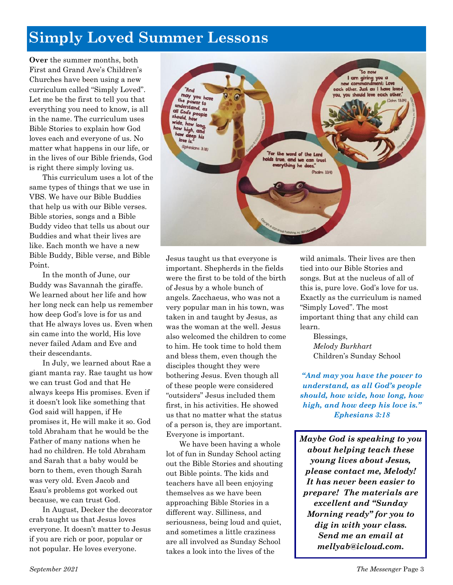## **Simply Loved Summer Lessons**

"And may you have

the power to understand, as all God's people<br>should bow uld, h

> we is (Ephesians 3:18)

**Over** the summer months, both First and Grand Ave's Children's Churches have been using a new curriculum called "Simply Loved". Let me be the first to tell you that everything you need to know, is all in the name. The curriculum uses Bible Stories to explain how God loves each and everyone of us. No matter what happens in our life, or in the lives of our Bible friends, God is right there simply loving us.

This curriculum uses a lot of the same types of things that we use in VBS. We have our Bible Buddies that help us with our Bible verses. Bible stories, songs and a Bible Buddy video that tells us about our Buddies and what their lives are like. Each month we have a new Bible Buddy, Bible verse, and Bible Point.

In the month of June, our Buddy was Savannah the giraffe. We learned about her life and how her long neck can help us remember how deep God's love is for us and that He always loves us. Even when sin came into the world, His love never failed Adam and Eve and their descendants.

In July, we learned about Rae a giant manta ray. Rae taught us how we can trust God and that He always keeps His promises. Even if it doesn't look like something that God said will happen, if He promises it, He will make it so. God told Abraham that he would be the Father of many nations when he had no children. He told Abraham and Sarah that a baby would be born to them, even though Sarah was very old. Even Jacob and Esau's problems got worked out because, we can trust God.

In August, Decker the decorator crab taught us that Jesus loves everyone. It doesn't matter to Jesus if you are rich or poor, popular or not popular. He loves everyone.



We have been having a whole lot of fun in Sunday School acting out the Bible Stories and shouting out Bible points. The kids and teachers have all been enjoying themselves as we have been approaching Bible Stories in a different way. Silliness, and seriousness, being loud and quiet, and sometimes a little craziness are all involved as Sunday School takes a look into the lives of the

wild animals. Their lives are then tied into our Bible Stories and songs. But at the nucleus of all of this is, pure love. God's love for us. Exactly as the curriculum is named "Simply Loved". The most important thing that any child can learn.

For the word of the Lord holds true, and we can trust erything he does.

(Psalm 33-4)

nt: Love er. Just as I have loved

love each other

Blessings, *Melody Burkhart*  Children's Sunday School

*"And may you have the power to understand, as all God's people should, how wide, how long, how high, and how deep his love is." Ephesians 3:18*

*Maybe God is speaking to you about helping teach these young lives about Jesus, please contact me, Melody! It has never been easier to prepare! The materials are excellent and "Sunday Morning ready" for you to dig in with your class. Send me an email at mellyab@icloud.com.*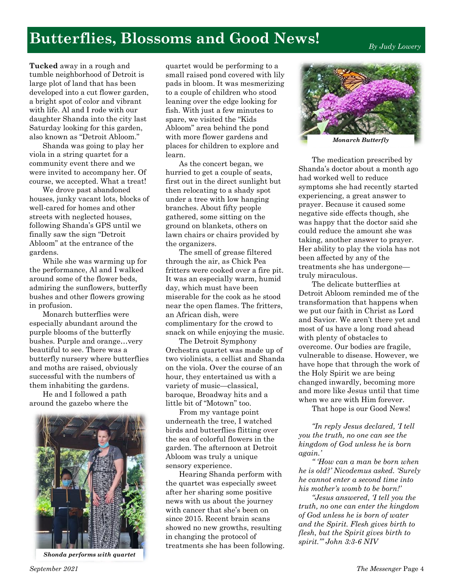## **Butterflies, Blossoms and Good News!**

*By Judy Lowery*

**Tucked** away in a rough and tumble neighborhood of Detroit is large plot of land that has been developed into a cut flower garden, a bright spot of color and vibrant with life. Al and I rode with our daughter Shanda into the city last Saturday looking for this garden, also known as "Detroit Abloom."

Shanda was going to play her viola in a string quartet for a community event there and we were invited to accompany her. Of course, we accepted. What a treat!

We drove past abandoned houses, junky vacant lots, blocks of well-cared for homes and other streets with neglected houses, following Shanda's GPS until we finally saw the sign "Detroit Abloom" at the entrance of the gardens.

While she was warming up for the performance, Al and I walked around some of the flower beds, admiring the sunflowers, butterfly bushes and other flowers growing in profusion.

Monarch butterflies were especially abundant around the purple blooms of the butterfly bushes. Purple and orange…very beautiful to see. There was a butterfly nursery where butterflies and moths are raised, obviously successful with the numbers of them inhabiting the gardens.

He and I followed a path around the gazebo where the



*Shonda performs with quartet*

quartet would be performing to a small raised pond covered with lily pads in bloom. It was mesmerizing to a couple of children who stood leaning over the edge looking for fish. With just a few minutes to spare, we visited the "Kids Abloom" area behind the pond with more flower gardens and places for children to explore and learn.

As the concert began, we hurried to get a couple of seats, first out in the direct sunlight but then relocating to a shady spot under a tree with low hanging branches. About fifty people gathered, some sitting on the ground on blankets, others on lawn chairs or chairs provided by the organizers.

The smell of grease filtered through the air, as Chick Pea fritters were cooked over a fire pit. It was an especially warm, humid day, which must have been miserable for the cook as he stood near the open flames. The fritters, an African dish, were complimentary for the crowd to snack on while enjoying the music.

The Detroit Symphony Orchestra quartet was made up of two violinists, a cellist and Shanda on the viola. Over the course of an hour, they entertained us with a variety of music—classical, baroque, Broadway hits and a little bit of "Motown" too.

From my vantage point underneath the tree, I watched birds and butterflies flitting over the sea of colorful flowers in the garden. The afternoon at Detroit Abloom was truly a unique sensory experience.

Hearing Shanda perform with the quartet was especially sweet after her sharing some positive news with us about the journey with cancer that she's been on since 2015. Recent brain scans showed no new growths, resulting in changing the protocol of treatments she has been following.



*Monarch Butterfly*

The medication prescribed by Shanda's doctor about a month ago had worked well to reduce symptoms she had recently started experiencing, a great answer to prayer. Because it caused some negative side effects though, she was happy that the doctor said she could reduce the amount she was taking, another answer to prayer. Her ability to play the viola has not been affected by any of the treatments she has undergone truly miraculous.

The delicate butterflies at Detroit Abloom reminded me of the transformation that happens when we put our faith in Christ as Lord and Savior. We aren't there yet and most of us have a long road ahead with plenty of obstacles to overcome. Our bodies are fragile, vulnerable to disease. However, we have hope that through the work of the Holy Spirit we are being changed inwardly, becoming more and more like Jesus until that time when we are with Him forever.

That hope is our Good News!

*"In reply Jesus declared, 'I tell you the truth, no one can see the kingdom of God unless he is born again.'* 

*" 'How can a man be born when he is old?' Nicodemus asked. 'Surely he cannot enter a second time into his mother's womb to be born!'*

*"Jesus answered, 'I tell you the truth, no one can enter the kingdom of God unless he is born of water and the Spirit. Flesh gives birth to flesh, but the Spirit gives birth to spirit.'" John 3:3-6 NIV*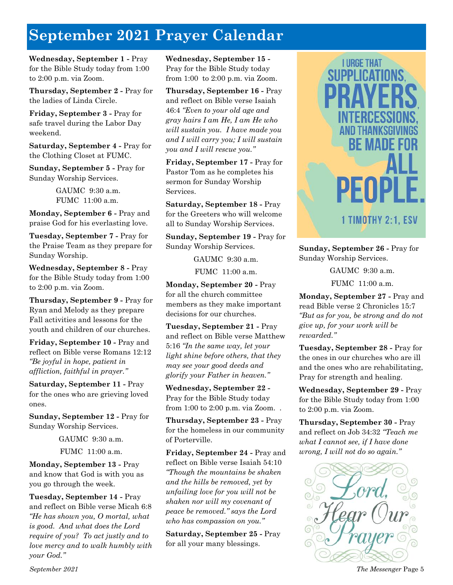## **September 2021 Prayer Calendar**

**Wednesday, September 1 -** Pray for the Bible Study today from 1:00 to 2:00 p.m. via Zoom.

**Thursday, September 2 -** Pray for the ladies of Linda Circle.

**Friday, September 3 -** Pray for safe travel during the Labor Day weekend.

**Saturday, September 4 -** Pray for the Clothing Closet at FUMC.

**Sunday, September 5 -** Pray for Sunday Worship Services.

> GAUMC 9:30 a.m. FUMC 11:00 a.m.

**Monday, September 6 -** Pray and praise God for his everlasting love.

**Tuesday, September 7 -** Pray for the Praise Team as they prepare for Sunday Worship.

**Wednesday, September 8 -** Pray for the Bible Study today from 1:00 to 2:00 p.m. via Zoom.

**Thursday, September 9 -** Pray for Ryan and Melody as they prepare Fall activities and lessons for the youth and children of our churches.

**Friday, September 10 -** Pray and reflect on Bible verse Romans 12:12 *"Be joyful in hope, patient in affliction, faithful in prayer."*

**Saturday, September 11 -** Pray for the ones who are grieving loved ones.

**Sunday, September 12 -** Pray for Sunday Worship Services.

GAUMC 9:30 a.m.

FUMC 11:00 a.m.

**Monday, September 13 -** Pray and know that God is with you as you go through the week.

**Tuesday, September 14 -** Pray and reflect on Bible verse Micah 6:8 *"He has shown you, O mortal, what is good. And what does the Lord require of you? To act justly and to love mercy and to walk humbly with your God."*

**Wednesday, September 15 -** Pray for the Bible Study today from 1:00 to 2:00 p.m. via Zoom.

**Thursday, September 16 -** Pray and reflect on Bible verse Isaiah 46:4 *"Even to your old age and gray hairs I am He, I am He who will sustain you. I have made you and I will carry you; I will sustain you and I will rescue you."*

**Friday, September 17 -** Pray for Pastor Tom as he completes his sermon for Sunday Worship Services.

**Saturday, September 18 -** Pray for the Greeters who will welcome all to Sunday Worship Services.

**Sunday, September 19 -** Pray for Sunday Worship Services.

GAUMC 9:30 a.m.

FUMC 11:00 a.m.

**Monday, September 20 -** Pray for all the church committee members as they make important decisions for our churches.

**Tuesday, September 21 -** Pray and reflect on Bible verse Matthew 5:16 *"In the same way, let your light shine before others, that they may see your good deeds and glorify your Father in heaven."*

**Wednesday, September 22 -**  Pray for the Bible Study today from 1:00 to 2:00 p.m. via Zoom. .

**Thursday, September 23 -** Pray for the homeless in our community of Porterville.

**Friday, September 24 -** Pray and reflect on Bible verse Isaiah 54:10 *"Though the mountains be shaken and the hills be removed, yet by unfailing love for you will not be shaken nor will my covenant of peace be removed." says the Lord who has compassion on you."*

**Saturday, September 25 -** Pray for all your many blessings.



**Sunday, September 26 -** Pray for Sunday Worship Services.

GAUMC 9:30 a.m.

FUMC 11:00 a.m.

**Monday, September 27 -** Pray and read Bible verse 2 Chronicles 15:7 *"But as for you, be strong and do not give up, for your work will be rewarded."*

**Tuesday, September 28 -** Pray for the ones in our churches who are ill and the ones who are rehabilitating, Pray for strength and healing.

**Wednesday, September 29 -** Pray for the Bible Study today from 1:00 to 2:00 p.m. via Zoom.

**Thursday, September 30 -** Pray and reflect on Job 34:32 *"Teach me what I cannot see, if I have done wrong, I will not do so again."*